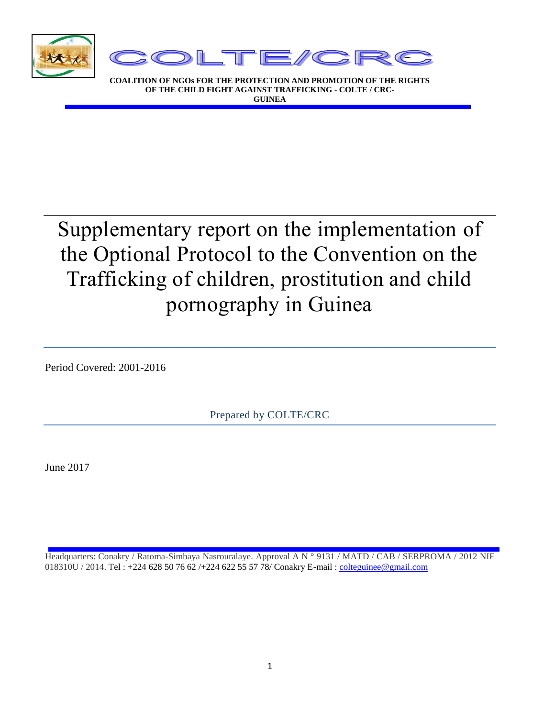

**COALITION OF NGOs FOR THE PROTECTION AND PROMOTION OF THE RIGHTS OF THE CHILD FIGHT AGAINST TRAFFICKING - COLTE / CRC-GUINEA**

# Supplementary report on the implementation of the Optional Protocol to the Convention on the Trafficking of children, prostitution and child pornography in Guinea

Period Covered: 2001-2016

Prepared by COLTE/CRC

June 2017

Headquarters: Conakry / Ratoma-Simbaya Nasrouralaye. Approval A N ° 9131 / MATD / CAB / SERPROMA / 2012 NIF 018310U / 2014. Tel : +224 628 50 76 62 /+224 622 55 57 78/ Conakry E-mail [: colteguinee@gmail.com](mailto:colteguinee@gmail.com)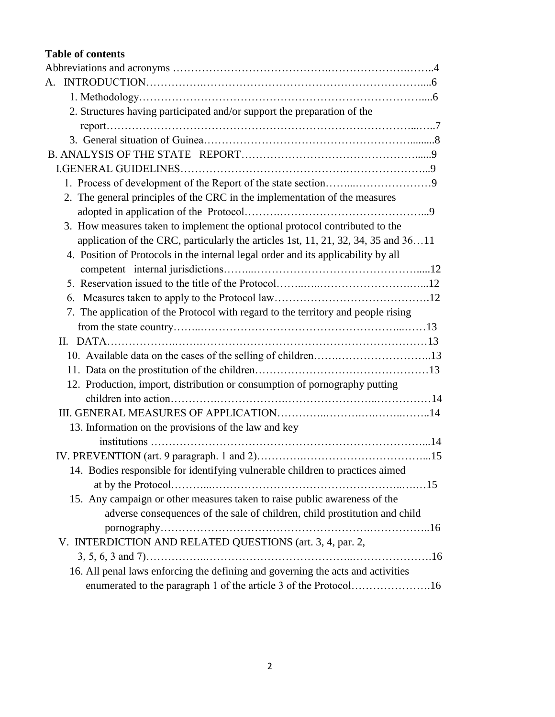#### **Table of contents**

| 2. Structures having participated and/or support the preparation of the            |  |
|------------------------------------------------------------------------------------|--|
|                                                                                    |  |
|                                                                                    |  |
|                                                                                    |  |
|                                                                                    |  |
|                                                                                    |  |
| 2. The general principles of the CRC in the implementation of the measures         |  |
|                                                                                    |  |
| 3. How measures taken to implement the optional protocol contributed to the        |  |
| application of the CRC, particularly the articles 1st, 11, 21, 32, 34, 35 and 3611 |  |
| 4. Position of Protocols in the internal legal order and its applicability by all  |  |
|                                                                                    |  |
|                                                                                    |  |
|                                                                                    |  |
| 7. The application of the Protocol with regard to the territory and people rising  |  |
|                                                                                    |  |
|                                                                                    |  |
|                                                                                    |  |
|                                                                                    |  |
| 12. Production, import, distribution or consumption of pornography putting         |  |
|                                                                                    |  |
|                                                                                    |  |
| 13. Information on the provisions of the law and key                               |  |
|                                                                                    |  |
|                                                                                    |  |
| 14. Bodies responsible for identifying vulnerable children to practices aimed      |  |
|                                                                                    |  |
| 15. Any campaign or other measures taken to raise public awareness of the          |  |
| adverse consequences of the sale of children, child prostitution and child         |  |
|                                                                                    |  |
| V. INTERDICTION AND RELATED QUESTIONS (art. 3, 4, par. 2,                          |  |
|                                                                                    |  |
| 16. All penal laws enforcing the defining and governing the acts and activities    |  |
| enumerated to the paragraph 1 of the article 3 of the Protocol16                   |  |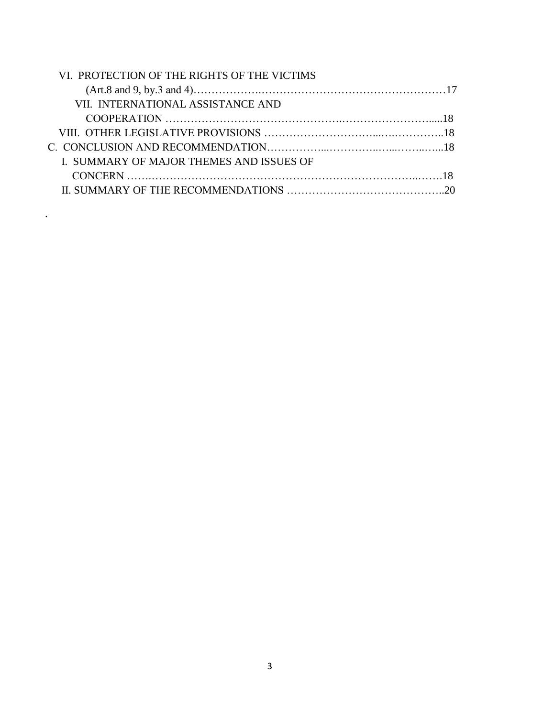| VI. PROTECTION OF THE RIGHTS OF THE VICTIMS |  |
|---------------------------------------------|--|
|                                             |  |
| VII. INTERNATIONAL ASSISTANCE AND           |  |
|                                             |  |
|                                             |  |
|                                             |  |
| I. SUMMARY OF MAJOR THEMES AND ISSUES OF    |  |
|                                             |  |
|                                             |  |

.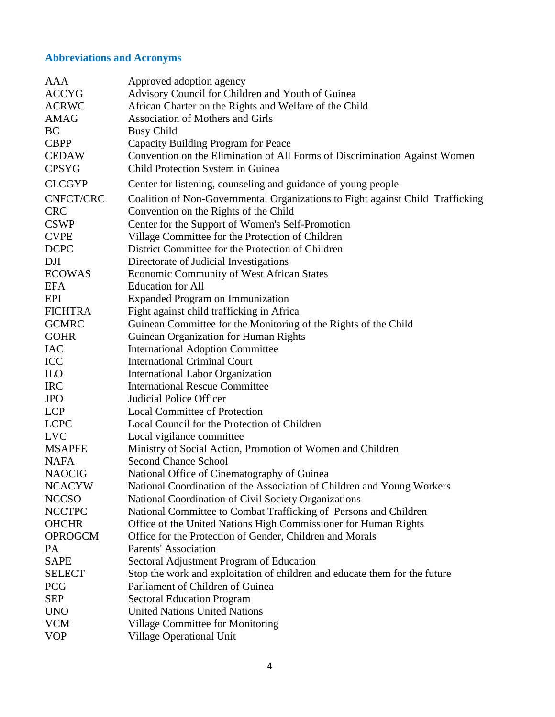# **Abbreviations and Acronyms**

| AAA            | Approved adoption agency                                                       |
|----------------|--------------------------------------------------------------------------------|
| <b>ACCYG</b>   | Advisory Council for Children and Youth of Guinea                              |
| <b>ACRWC</b>   | African Charter on the Rights and Welfare of the Child                         |
| <b>AMAG</b>    | <b>Association of Mothers and Girls</b>                                        |
| <b>BC</b>      | <b>Busy Child</b>                                                              |
| <b>CBPP</b>    | Capacity Building Program for Peace                                            |
| <b>CEDAW</b>   | Convention on the Elimination of All Forms of Discrimination Against Women     |
| <b>CPSYG</b>   | Child Protection System in Guinea                                              |
| <b>CLCGYP</b>  | Center for listening, counseling and guidance of young people                  |
| CNFCT/CRC      | Coalition of Non-Governmental Organizations to Fight against Child Trafficking |
| <b>CRC</b>     | Convention on the Rights of the Child                                          |
| <b>CSWP</b>    | Center for the Support of Women's Self-Promotion                               |
| <b>CVPE</b>    | Village Committee for the Protection of Children                               |
| <b>DCPC</b>    | District Committee for the Protection of Children                              |
| DJI            | Directorate of Judicial Investigations                                         |
| <b>ECOWAS</b>  | <b>Economic Community of West African States</b>                               |
| <b>EFA</b>     | <b>Education</b> for All                                                       |
| EPI            | <b>Expanded Program on Immunization</b>                                        |
| <b>FICHTRA</b> | Fight against child trafficking in Africa                                      |
| <b>GCMRC</b>   | Guinean Committee for the Monitoring of the Rights of the Child                |
| <b>GOHR</b>    | Guinean Organization for Human Rights                                          |
| <b>IAC</b>     | <b>International Adoption Committee</b>                                        |
| ICC            | <b>International Criminal Court</b>                                            |
| $\rm ILO$      | <b>International Labor Organization</b>                                        |
| <b>IRC</b>     | <b>International Rescue Committee</b>                                          |
| <b>JPO</b>     | <b>Judicial Police Officer</b>                                                 |
| <b>LCP</b>     | <b>Local Committee of Protection</b>                                           |
| <b>LCPC</b>    | Local Council for the Protection of Children                                   |
| <b>LVC</b>     | Local vigilance committee                                                      |
| <b>MSAPFE</b>  | Ministry of Social Action, Promotion of Women and Children                     |
| <b>NAFA</b>    | <b>Second Chance School</b>                                                    |
| <b>NAOCIG</b>  | National Office of Cinematography of Guinea                                    |
| <b>NCACYW</b>  | National Coordination of the Association of Children and Young Workers         |
| <b>NCCSO</b>   | National Coordination of Civil Society Organizations                           |
| <b>NCCTPC</b>  | National Committee to Combat Trafficking of Persons and Children               |
| <b>OHCHR</b>   | Office of the United Nations High Commissioner for Human Rights                |
| <b>OPROGCM</b> | Office for the Protection of Gender, Children and Morals                       |
| <b>PA</b>      | Parents' Association                                                           |
| <b>SAPE</b>    | Sectoral Adjustment Program of Education                                       |
| <b>SELECT</b>  | Stop the work and exploitation of children and educate them for the future     |
| <b>PCG</b>     | Parliament of Children of Guinea                                               |
| <b>SEP</b>     | <b>Sectoral Education Program</b>                                              |
| <b>UNO</b>     | <b>United Nations United Nations</b>                                           |
| <b>VCM</b>     | Village Committee for Monitoring                                               |
| <b>VOP</b>     | <b>Village Operational Unit</b>                                                |
|                |                                                                                |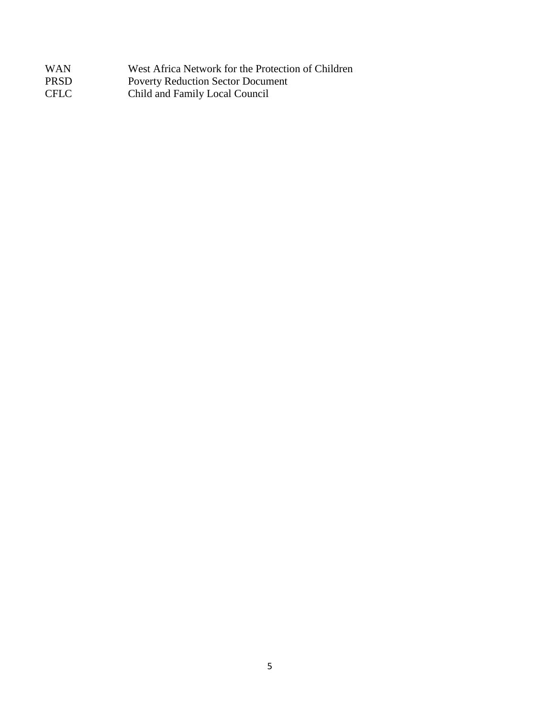| <b>WAN</b>  | West Africa Network for the Protection of Children |
|-------------|----------------------------------------------------|
| <b>PRSD</b> | <b>Poverty Reduction Sector Document</b>           |
| <b>CFLC</b> | Child and Family Local Council                     |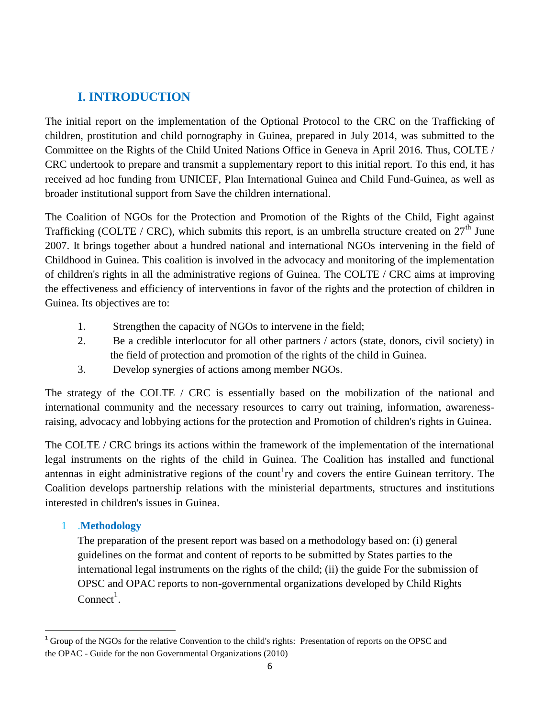# **I. INTRODUCTION**

The initial report on the implementation of the Optional Protocol to the CRC on the Trafficking of children, prostitution and child pornography in Guinea, prepared in July 2014, was submitted to the Committee on the Rights of the Child United Nations Office in Geneva in April 2016. Thus, COLTE / CRC undertook to prepare and transmit a supplementary report to this initial report. To this end, it has received ad hoc funding from UNICEF, Plan International Guinea and Child Fund-Guinea, as well as broader institutional support from Save the children international.

The Coalition of NGOs for the Protection and Promotion of the Rights of the Child, Fight against Trafficking (COLTE / CRC), which submits this report, is an umbrella structure created on  $27<sup>th</sup>$  June 2007. It brings together about a hundred national and international NGOs intervening in the field of Childhood in Guinea. This coalition is involved in the advocacy and monitoring of the implementation of children's rights in all the administrative regions of Guinea. The COLTE / CRC aims at improving the effectiveness and efficiency of interventions in favor of the rights and the protection of children in Guinea. Its objectives are to:

- 1. Strengthen the capacity of NGOs to intervene in the field;
- 2. Be a credible interlocutor for all other partners / actors (state, donors, civil society) in the field of protection and promotion of the rights of the child in Guinea.
- 3. Develop synergies of actions among member NGOs.

The strategy of the COLTE / CRC is essentially based on the mobilization of the national and international community and the necessary resources to carry out training, information, awarenessraising, advocacy and lobbying actions for the protection and Promotion of children's rights in Guinea.

The COLTE / CRC brings its actions within the framework of the implementation of the international legal instruments on the rights of the child in Guinea. The Coalition has installed and functional antennas in eight administrative regions of the count<sup>1</sup>ry and covers the entire Guinean territory. The Coalition develops partnership relations with the ministerial departments, structures and institutions interested in children's issues in Guinea.

# 1 .**Methodology**

 $\overline{a}$ 

The preparation of the present report was based on a methodology based on: (i) general guidelines on the format and content of reports to be submitted by States parties to the international legal instruments on the rights of the child; (ii) the guide For the submission of OPSC and OPAC reports to non-governmental organizations developed by Child Rights  $Connect<sup>1</sup>$ .

<sup>&</sup>lt;sup>1</sup> Group of the NGOs for the relative Convention to the child's rights: Presentation of reports on the OPSC and the OPAC - Guide for the non Governmental Organizations (2010)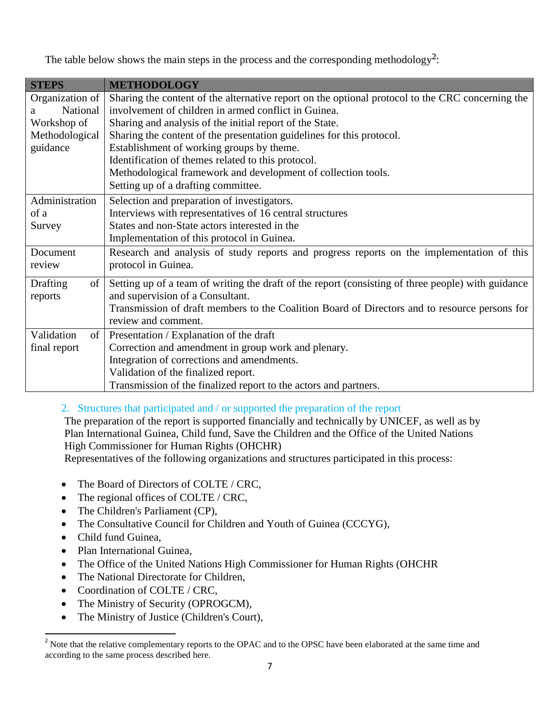The table below shows the main steps in the process and the corresponding methodology<sup>2</sup>:

| <b>STEPS</b>     | <b>METHODOLOGY</b>                                                                                 |
|------------------|----------------------------------------------------------------------------------------------------|
| Organization of  | Sharing the content of the alternative report on the optional protocol to the CRC concerning the   |
| National<br>a    | involvement of children in armed conflict in Guinea.                                               |
| Workshop of      | Sharing and analysis of the initial report of the State.                                           |
| Methodological   | Sharing the content of the presentation guidelines for this protocol.                              |
| guidance         | Establishment of working groups by theme.                                                          |
|                  | Identification of themes related to this protocol.                                                 |
|                  | Methodological framework and development of collection tools.                                      |
|                  | Setting up of a drafting committee.                                                                |
| Administration   | Selection and preparation of investigators.                                                        |
| of a             | Interviews with representatives of 16 central structures                                           |
| Survey           | States and non-State actors interested in the                                                      |
|                  | Implementation of this protocol in Guinea.                                                         |
| Document         | Research and analysis of study reports and progress reports on the implementation of this          |
| review           | protocol in Guinea.                                                                                |
| of<br>Drafting   | Setting up of a team of writing the draft of the report (consisting of three people) with guidance |
| reports          | and supervision of a Consultant.                                                                   |
|                  | Transmission of draft members to the Coalition Board of Directors and to resource persons for      |
|                  | review and comment.                                                                                |
| Validation<br>of | Presentation / Explanation of the draft                                                            |
| final report     | Correction and amendment in group work and plenary.                                                |
|                  | Integration of corrections and amendments.                                                         |
|                  | Validation of the finalized report.                                                                |
|                  | Transmission of the finalized report to the actors and partners.                                   |

#### 2. Structures that participated and / or supported the preparation of the report

The preparation of the report is supported financially and technically by UNICEF, as well as by Plan International Guinea, Child fund, Save the Children and the Office of the United Nations High Commissioner for Human Rights (OHCHR)

Representatives of the following organizations and structures participated in this process:

- The Board of Directors of COLTE / CRC,
- The regional offices of COLTE / CRC,
- The Children's Parliament (CP),
- The Consultative Council for Children and Youth of Guinea (CCCYG),
- Child fund Guinea,

 $\overline{a}$ 

- Plan International Guinea,
- The Office of the United Nations High Commissioner for Human Rights (OHCHR
- The National Directorate for Children,
- Coordination of COLTE / CRC,
- The Ministry of Security (OPROGCM),
- The Ministry of Justice (Children's Court),

<sup>&</sup>lt;sup>2</sup> Note that the relative complementary reports to the OPAC and to the OPSC have been elaborated at the same time and according to the same process described here.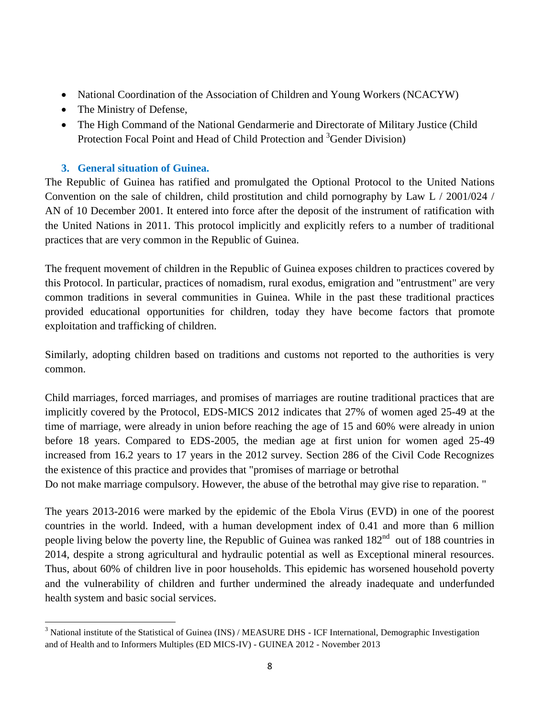- National Coordination of the Association of Children and Young Workers (NCACYW)
- The Ministry of Defense,
- The High Command of the National Gendarmerie and Directorate of Military Justice (Child Protection Focal Point and Head of Child Protection and <sup>3</sup>Gender Division)

# **3. General situation of Guinea.**

 $\overline{a}$ 

The Republic of Guinea has ratified and promulgated the Optional Protocol to the United Nations Convention on the sale of children, child prostitution and child pornography by Law L  $/$  2001/024  $/$ AN of 10 December 2001. It entered into force after the deposit of the instrument of ratification with the United Nations in 2011. This protocol implicitly and explicitly refers to a number of traditional practices that are very common in the Republic of Guinea.

The frequent movement of children in the Republic of Guinea exposes children to practices covered by this Protocol. In particular, practices of nomadism, rural exodus, emigration and "entrustment" are very common traditions in several communities in Guinea. While in the past these traditional practices provided educational opportunities for children, today they have become factors that promote exploitation and trafficking of children.

Similarly, adopting children based on traditions and customs not reported to the authorities is very common.

Child marriages, forced marriages, and promises of marriages are routine traditional practices that are implicitly covered by the Protocol, EDS-MICS 2012 indicates that 27% of women aged 25-49 at the time of marriage, were already in union before reaching the age of 15 and 60% were already in union before 18 years. Compared to EDS-2005, the median age at first union for women aged 25-49 increased from 16.2 years to 17 years in the 2012 survey. Section 286 of the Civil Code Recognizes the existence of this practice and provides that "promises of marriage or betrothal

Do not make marriage compulsory. However, the abuse of the betrothal may give rise to reparation. "

The years 2013-2016 were marked by the epidemic of the Ebola Virus (EVD) in one of the poorest countries in the world. Indeed, with a human development index of 0.41 and more than 6 million people living below the poverty line, the Republic of Guinea was ranked 182<sup>nd</sup> out of 188 countries in 2014, despite a strong agricultural and hydraulic potential as well as Exceptional mineral resources. Thus, about 60% of children live in poor households. This epidemic has worsened household poverty and the vulnerability of children and further undermined the already inadequate and underfunded health system and basic social services.

<sup>&</sup>lt;sup>3</sup> National institute of the Statistical of Guinea (INS) / MEASURE DHS - ICF International, Demographic Investigation and of Health and to Informers Multiples (ED MICS-IV) - GUINEA 2012 - November 2013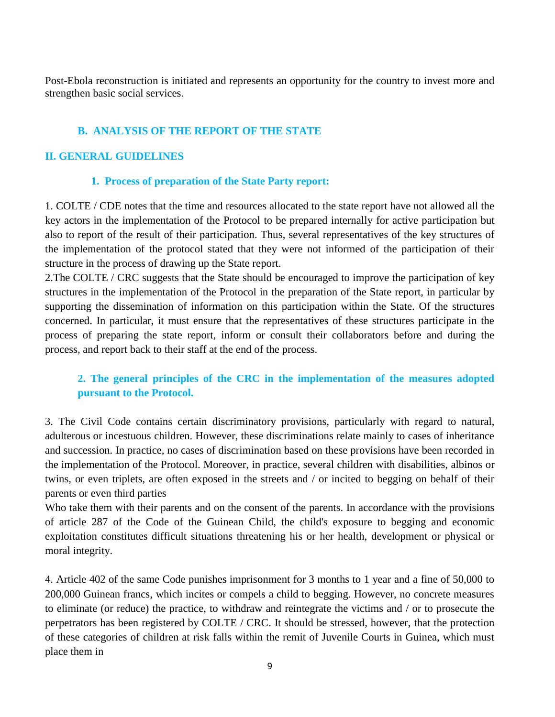Post-Ebola reconstruction is initiated and represents an opportunity for the country to invest more and strengthen basic social services.

#### **B. ANALYSIS OF THE REPORT OF THE STATE**

## **II. GENERAL GUIDELINES**

#### **1. Process of preparation of the State Party report:**

1. COLTE / CDE notes that the time and resources allocated to the state report have not allowed all the key actors in the implementation of the Protocol to be prepared internally for active participation but also to report of the result of their participation. Thus, several representatives of the key structures of the implementation of the protocol stated that they were not informed of the participation of their structure in the process of drawing up the State report.

2.The COLTE / CRC suggests that the State should be encouraged to improve the participation of key structures in the implementation of the Protocol in the preparation of the State report, in particular by supporting the dissemination of information on this participation within the State. Of the structures concerned. In particular, it must ensure that the representatives of these structures participate in the process of preparing the state report, inform or consult their collaborators before and during the process, and report back to their staff at the end of the process.

# **2. The general principles of the CRC in the implementation of the measures adopted pursuant to the Protocol.**

3. The Civil Code contains certain discriminatory provisions, particularly with regard to natural, adulterous or incestuous children. However, these discriminations relate mainly to cases of inheritance and succession. In practice, no cases of discrimination based on these provisions have been recorded in the implementation of the Protocol. Moreover, in practice, several children with disabilities, albinos or twins, or even triplets, are often exposed in the streets and / or incited to begging on behalf of their parents or even third parties

Who take them with their parents and on the consent of the parents. In accordance with the provisions of article 287 of the Code of the Guinean Child, the child's exposure to begging and economic exploitation constitutes difficult situations threatening his or her health, development or physical or moral integrity.

4. Article 402 of the same Code punishes imprisonment for 3 months to 1 year and a fine of 50,000 to 200,000 Guinean francs, which incites or compels a child to begging. However, no concrete measures to eliminate (or reduce) the practice, to withdraw and reintegrate the victims and / or to prosecute the perpetrators has been registered by COLTE / CRC. It should be stressed, however, that the protection of these categories of children at risk falls within the remit of Juvenile Courts in Guinea, which must place them in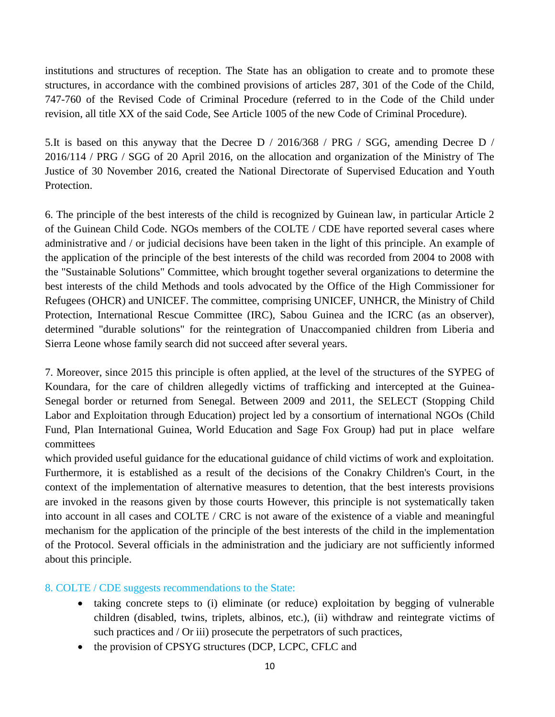institutions and structures of reception. The State has an obligation to create and to promote these structures, in accordance with the combined provisions of articles 287, 301 of the Code of the Child, 747-760 of the Revised Code of Criminal Procedure (referred to in the Code of the Child under revision, all title XX of the said Code, See Article 1005 of the new Code of Criminal Procedure).

5.It is based on this anyway that the Decree D / 2016/368 / PRG / SGG, amending Decree D / 2016/114 / PRG / SGG of 20 April 2016, on the allocation and organization of the Ministry of The Justice of 30 November 2016, created the National Directorate of Supervised Education and Youth Protection.

6. The principle of the best interests of the child is recognized by Guinean law, in particular Article 2 of the Guinean Child Code. NGOs members of the COLTE / CDE have reported several cases where administrative and / or judicial decisions have been taken in the light of this principle. An example of the application of the principle of the best interests of the child was recorded from 2004 to 2008 with the "Sustainable Solutions" Committee, which brought together several organizations to determine the best interests of the child Methods and tools advocated by the Office of the High Commissioner for Refugees (OHCR) and UNICEF. The committee, comprising UNICEF, UNHCR, the Ministry of Child Protection, International Rescue Committee (IRC), Sabou Guinea and the ICRC (as an observer), determined "durable solutions" for the reintegration of Unaccompanied children from Liberia and Sierra Leone whose family search did not succeed after several years.

7. Moreover, since 2015 this principle is often applied, at the level of the structures of the SYPEG of Koundara, for the care of children allegedly victims of trafficking and intercepted at the Guinea-Senegal border or returned from Senegal. Between 2009 and 2011, the SELECT (Stopping Child Labor and Exploitation through Education) project led by a consortium of international NGOs (Child Fund, Plan International Guinea, World Education and Sage Fox Group) had put in place welfare committees

which provided useful guidance for the educational guidance of child victims of work and exploitation. Furthermore, it is established as a result of the decisions of the Conakry Children's Court, in the context of the implementation of alternative measures to detention, that the best interests provisions are invoked in the reasons given by those courts However, this principle is not systematically taken into account in all cases and COLTE / CRC is not aware of the existence of a viable and meaningful mechanism for the application of the principle of the best interests of the child in the implementation of the Protocol. Several officials in the administration and the judiciary are not sufficiently informed about this principle.

# 8. COLTE / CDE suggests recommendations to the State:

- taking concrete steps to (i) eliminate (or reduce) exploitation by begging of vulnerable children (disabled, twins, triplets, albinos, etc.), (ii) withdraw and reintegrate victims of such practices and / Or iii) prosecute the perpetrators of such practices,
- the provision of CPSYG structures (DCP, LCPC, CFLC and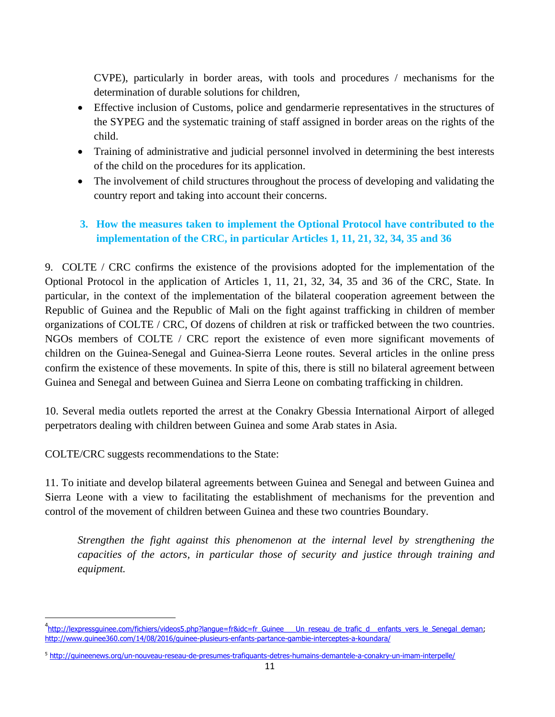CVPE), particularly in border areas, with tools and procedures / mechanisms for the determination of durable solutions for children,

- Effective inclusion of Customs, police and gendarmerie representatives in the structures of the SYPEG and the systematic training of staff assigned in border areas on the rights of the child.
- Training of administrative and judicial personnel involved in determining the best interests of the child on the procedures for its application.
- The involvement of child structures throughout the process of developing and validating the country report and taking into account their concerns.

# **3. How the measures taken to implement the Optional Protocol have contributed to the implementation of the CRC, in particular Articles 1, 11, 21, 32, 34, 35 and 36**

9. COLTE / CRC confirms the existence of the provisions adopted for the implementation of the Optional Protocol in the application of Articles 1, 11, 21, 32, 34, 35 and 36 of the CRC, State. In particular, in the context of the implementation of the bilateral cooperation agreement between the Republic of Guinea and the Republic of Mali on the fight against trafficking in children of member organizations of COLTE / CRC, Of dozens of children at risk or trafficked between the two countries. NGOs members of COLTE / CRC report the existence of even more significant movements of children on the Guinea-Senegal and Guinea-Sierra Leone routes. Several articles in the online press confirm the existence of these movements. In spite of this, there is still no bilateral agreement between Guinea and Senegal and between Guinea and Sierra Leone on combating trafficking in children.

10. Several media outlets reported the arrest at the Conakry Gbessia International Airport of alleged perpetrators dealing with children between Guinea and some Arab states in Asia.

COLTE/CRC suggests recommendations to the State:

 $\overline{a}$ 

11. To initiate and develop bilateral agreements between Guinea and Senegal and between Guinea and Sierra Leone with a view to facilitating the establishment of mechanisms for the prevention and control of the movement of children between Guinea and these two countries Boundary.

*Strengthen the fight against this phenomenon at the internal level by strengthening the capacities of the actors, in particular those of security and justice through training and equipment.*

<sup>&</sup>lt;sup>4</sup>[http://lexpressguinee.com/fichiers/videos5.php?langue=fr&idc=fr\\_Guinee\\_\\_\\_Un\\_reseau\\_de\\_trafic\\_d\\_\\_enfants\\_vers\\_le\\_Senegal\\_deman;](http://lexpressguinee.com/fichiers/videos5.php?langue=fr&idc=fr_Guinee___Un_reseau_de_trafic_d__enfants_vers_le_Senegal_deman) <http://www.guinee360.com/14/08/2016/guinee-plusieurs-enfants-partance-gambie-interceptes-a-koundara/>

<sup>5</sup> <http://guineenews.org/un-nouveau-reseau-de-presumes-trafiquants-detres-humains-demantele-a-conakry-un-imam-interpelle/>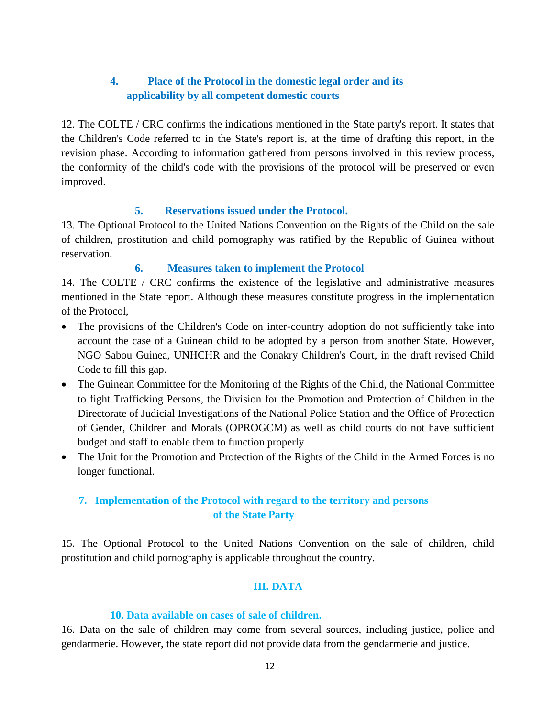# **4. Place of the Protocol in the domestic legal order and its applicability by all competent domestic courts**

12. The COLTE / CRC confirms the indications mentioned in the State party's report. It states that the Children's Code referred to in the State's report is, at the time of drafting this report, in the revision phase. According to information gathered from persons involved in this review process, the conformity of the child's code with the provisions of the protocol will be preserved or even improved.

#### **5. Reservations issued under the Protocol.**

13. The Optional Protocol to the United Nations Convention on the Rights of the Child on the sale of children, prostitution and child pornography was ratified by the Republic of Guinea without reservation.

#### **6. Measures taken to implement the Protocol**

14. The COLTE / CRC confirms the existence of the legislative and administrative measures mentioned in the State report. Although these measures constitute progress in the implementation of the Protocol,

- The provisions of the Children's Code on inter-country adoption do not sufficiently take into account the case of a Guinean child to be adopted by a person from another State. However, NGO Sabou Guinea, UNHCHR and the Conakry Children's Court, in the draft revised Child Code to fill this gap.
- The Guinean Committee for the Monitoring of the Rights of the Child, the National Committee to fight Trafficking Persons, the Division for the Promotion and Protection of Children in the Directorate of Judicial Investigations of the National Police Station and the Office of Protection of Gender, Children and Morals (OPROGCM) as well as child courts do not have sufficient budget and staff to enable them to function properly
- The Unit for the Promotion and Protection of the Rights of the Child in the Armed Forces is no longer functional.

# **7. Implementation of the Protocol with regard to the territory and persons of the State Party**

15. The Optional Protocol to the United Nations Convention on the sale of children, child prostitution and child pornography is applicable throughout the country.

# **III. DATA**

# **10. Data available on cases of sale of children.**

16. Data on the sale of children may come from several sources, including justice, police and gendarmerie. However, the state report did not provide data from the gendarmerie and justice.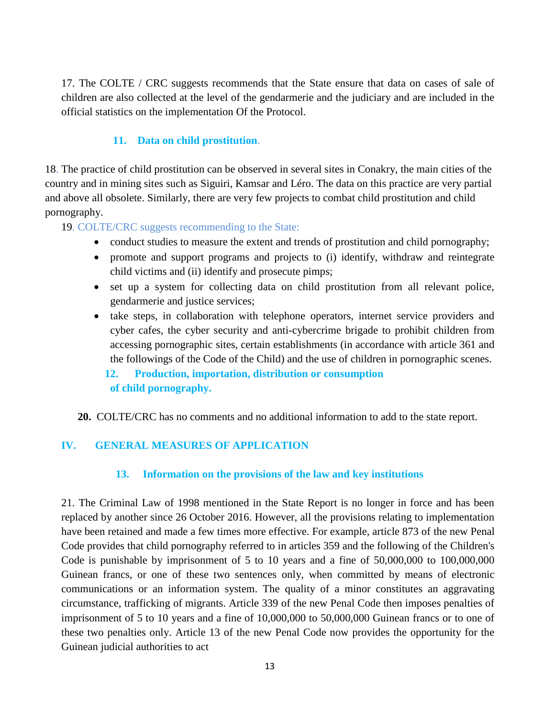17. The COLTE / CRC suggests recommends that the State ensure that data on cases of sale of children are also collected at the level of the gendarmerie and the judiciary and are included in the official statistics on the implementation Of the Protocol.

# **11. Data on child prostitution**.

18. The practice of child prostitution can be observed in several sites in Conakry, the main cities of the country and in mining sites such as Siguiri, Kamsar and Léro. The data on this practice are very partial and above all obsolete. Similarly, there are very few projects to combat child prostitution and child pornography.

19. COLTE/CRC suggests recommending to the State:

- conduct studies to measure the extent and trends of prostitution and child pornography;
- promote and support programs and projects to (i) identify, withdraw and reintegrate child victims and (ii) identify and prosecute pimps;
- set up a system for collecting data on child prostitution from all relevant police, gendarmerie and justice services;
- take steps, in collaboration with telephone operators, internet service providers and cyber cafes, the cyber security and anti-cybercrime brigade to prohibit children from accessing pornographic sites, certain establishments (in accordance with article 361 and the followings of the Code of the Child) and the use of children in pornographic scenes.

 **12. Production, importation, distribution or consumption of child pornography.** 

**20.** COLTE/CRC has no comments and no additional information to add to the state report.

# **IV. GENERAL MEASURES OF APPLICATION**

# **13. Information on the provisions of the law and key institutions**

21. The Criminal Law of 1998 mentioned in the State Report is no longer in force and has been replaced by another since 26 October 2016. However, all the provisions relating to implementation have been retained and made a few times more effective. For example, article 873 of the new Penal Code provides that child pornography referred to in articles 359 and the following of the Children's Code is punishable by imprisonment of 5 to 10 years and a fine of 50,000,000 to 100,000,000 Guinean francs, or one of these two sentences only, when committed by means of electronic communications or an information system. The quality of a minor constitutes an aggravating circumstance, trafficking of migrants. Article 339 of the new Penal Code then imposes penalties of imprisonment of 5 to 10 years and a fine of 10,000,000 to 50,000,000 Guinean francs or to one of these two penalties only. Article 13 of the new Penal Code now provides the opportunity for the Guinean judicial authorities to act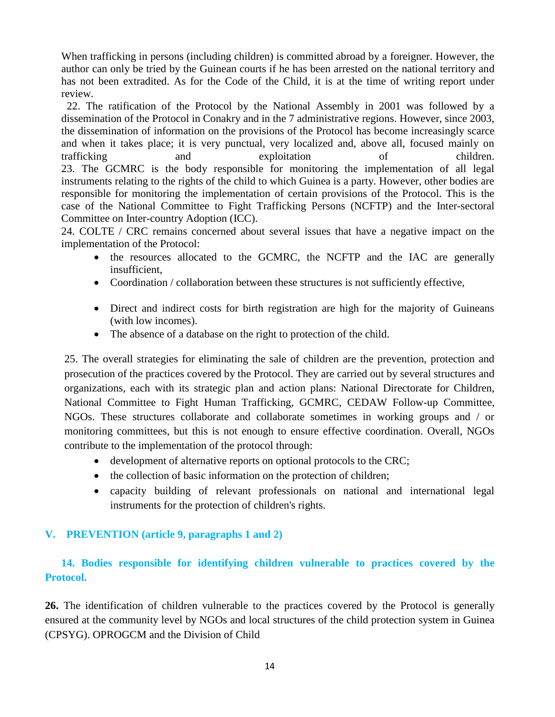When trafficking in persons (including children) is committed abroad by a foreigner. However, the author can only be tried by the Guinean courts if he has been arrested on the national territory and has not been extradited. As for the Code of the Child, it is at the time of writing report under review.

 22. The ratification of the Protocol by the National Assembly in 2001 was followed by a dissemination of the Protocol in Conakry and in the 7 administrative regions. However, since 2003, the dissemination of information on the provisions of the Protocol has become increasingly scarce and when it takes place; it is very punctual, very localized and, above all, focused mainly on trafficking and exploitation of children. 23. The GCMRC is the body responsible for monitoring the implementation of all legal instruments relating to the rights of the child to which Guinea is a party. However, other bodies are responsible for monitoring the implementation of certain provisions of the Protocol. This is the case of the National Committee to Fight Trafficking Persons (NCFTP) and the Inter-sectoral Committee on Inter-country Adoption (ICC).

24. COLTE / CRC remains concerned about several issues that have a negative impact on the implementation of the Protocol:

- the resources allocated to the GCMRC, the NCFTP and the IAC are generally insufficient,
- Coordination / collaboration between these structures is not sufficiently effective,
- Direct and indirect costs for birth registration are high for the majority of Guineans (with low incomes).
- The absence of a database on the right to protection of the child.

25. The overall strategies for eliminating the sale of children are the prevention, protection and prosecution of the practices covered by the Protocol. They are carried out by several structures and organizations, each with its strategic plan and action plans: National Directorate for Children, National Committee to Fight Human Trafficking, GCMRC, CEDAW Follow-up Committee, NGOs. These structures collaborate and collaborate sometimes in working groups and / or monitoring committees, but this is not enough to ensure effective coordination. Overall, NGOs contribute to the implementation of the protocol through:

- development of alternative reports on optional protocols to the CRC;
- the collection of basic information on the protection of children;
- capacity building of relevant professionals on national and international legal instruments for the protection of children's rights.

#### **V. PREVENTION (article 9, paragraphs 1 and 2)**

# **14. Bodies responsible for identifying children vulnerable to practices covered by the Protocol.**

**26.** The identification of children vulnerable to the practices covered by the Protocol is generally ensured at the community level by NGOs and local structures of the child protection system in Guinea (CPSYG). OPROGCM and the Division of Child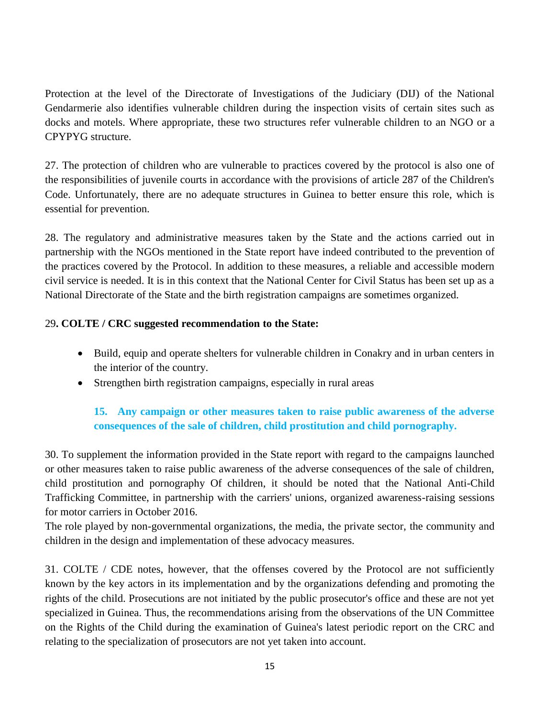Protection at the level of the Directorate of Investigations of the Judiciary (DIJ) of the National Gendarmerie also identifies vulnerable children during the inspection visits of certain sites such as docks and motels. Where appropriate, these two structures refer vulnerable children to an NGO or a CPYPYG structure.

27. The protection of children who are vulnerable to practices covered by the protocol is also one of the responsibilities of juvenile courts in accordance with the provisions of article 287 of the Children's Code. Unfortunately, there are no adequate structures in Guinea to better ensure this role, which is essential for prevention.

28. The regulatory and administrative measures taken by the State and the actions carried out in partnership with the NGOs mentioned in the State report have indeed contributed to the prevention of the practices covered by the Protocol. In addition to these measures, a reliable and accessible modern civil service is needed. It is in this context that the National Center for Civil Status has been set up as a National Directorate of the State and the birth registration campaigns are sometimes organized.

### 29**. COLTE / CRC suggested recommendation to the State:**

- Build, equip and operate shelters for vulnerable children in Conakry and in urban centers in the interior of the country.
- Strengthen birth registration campaigns, especially in rural areas

# **15. Any campaign or other measures taken to raise public awareness of the adverse consequences of the sale of children, child prostitution and child pornography.**

30. To supplement the information provided in the State report with regard to the campaigns launched or other measures taken to raise public awareness of the adverse consequences of the sale of children, child prostitution and pornography Of children, it should be noted that the National Anti-Child Trafficking Committee, in partnership with the carriers' unions, organized awareness-raising sessions for motor carriers in October 2016.

The role played by non-governmental organizations, the media, the private sector, the community and children in the design and implementation of these advocacy measures.

31. COLTE / CDE notes, however, that the offenses covered by the Protocol are not sufficiently known by the key actors in its implementation and by the organizations defending and promoting the rights of the child. Prosecutions are not initiated by the public prosecutor's office and these are not yet specialized in Guinea. Thus, the recommendations arising from the observations of the UN Committee on the Rights of the Child during the examination of Guinea's latest periodic report on the CRC and relating to the specialization of prosecutors are not yet taken into account.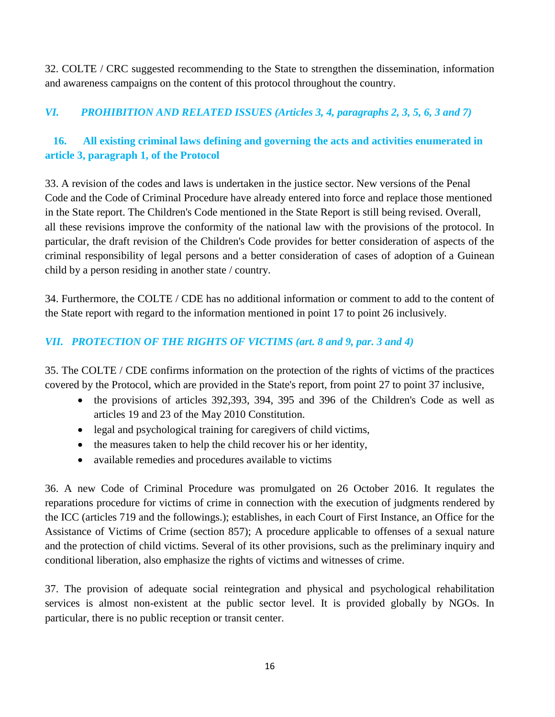32. COLTE / CRC suggested recommending to the State to strengthen the dissemination, information and awareness campaigns on the content of this protocol throughout the country.

# *VI. PROHIBITION AND RELATED ISSUES (Articles 3, 4, paragraphs 2, 3, 5, 6, 3 and 7)*

# **16. All existing criminal laws defining and governing the acts and activities enumerated in article 3, paragraph 1, of the Protocol**

33. A revision of the codes and laws is undertaken in the justice sector. New versions of the Penal Code and the Code of Criminal Procedure have already entered into force and replace those mentioned in the State report. The Children's Code mentioned in the State Report is still being revised. Overall, all these revisions improve the conformity of the national law with the provisions of the protocol. In particular, the draft revision of the Children's Code provides for better consideration of aspects of the criminal responsibility of legal persons and a better consideration of cases of adoption of a Guinean child by a person residing in another state / country.

34. Furthermore, the COLTE / CDE has no additional information or comment to add to the content of the State report with regard to the information mentioned in point 17 to point 26 inclusively.

### *VII. PROTECTION OF THE RIGHTS OF VICTIMS (art. 8 and 9, par. 3 and 4)*

35. The COLTE / CDE confirms information on the protection of the rights of victims of the practices covered by the Protocol, which are provided in the State's report, from point 27 to point 37 inclusive,

- the provisions of articles 392,393, 394, 395 and 396 of the Children's Code as well as articles 19 and 23 of the May 2010 Constitution.
- legal and psychological training for caregivers of child victims,
- the measures taken to help the child recover his or her identity,
- available remedies and procedures available to victims

36. A new Code of Criminal Procedure was promulgated on 26 October 2016. It regulates the reparations procedure for victims of crime in connection with the execution of judgments rendered by the ICC (articles 719 and the followings.); establishes, in each Court of First Instance, an Office for the Assistance of Victims of Crime (section 857); A procedure applicable to offenses of a sexual nature and the protection of child victims. Several of its other provisions, such as the preliminary inquiry and conditional liberation, also emphasize the rights of victims and witnesses of crime.

37. The provision of adequate social reintegration and physical and psychological rehabilitation services is almost non-existent at the public sector level. It is provided globally by NGOs. In particular, there is no public reception or transit center.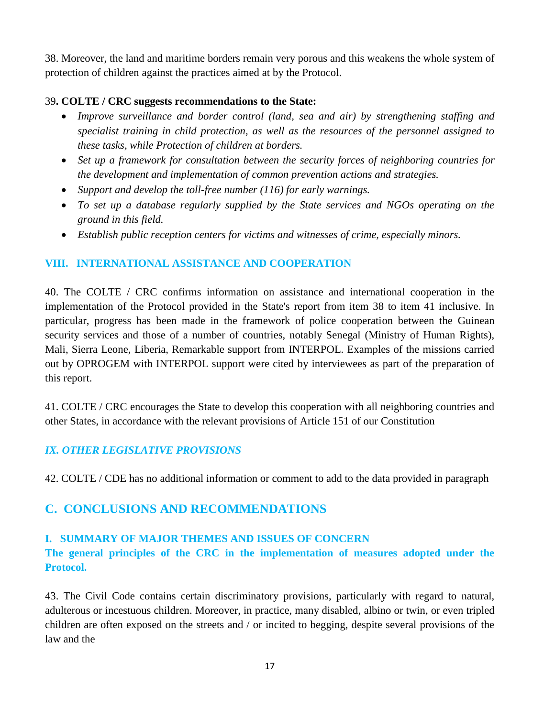38. Moreover, the land and maritime borders remain very porous and this weakens the whole system of protection of children against the practices aimed at by the Protocol.

#### 39**. COLTE / CRC suggests recommendations to the State:**

- *Improve surveillance and border control (land, sea and air) by strengthening staffing and specialist training in child protection, as well as the resources of the personnel assigned to these tasks, while Protection of children at borders.*
- *Set up a framework for consultation between the security forces of neighboring countries for the development and implementation of common prevention actions and strategies.*
- *Support and develop the toll-free number (116) for early warnings.*
- *To set up a database regularly supplied by the State services and NGOs operating on the ground in this field.*
- *Establish public reception centers for victims and witnesses of crime, especially minors.*

#### **VIII. INTERNATIONAL ASSISTANCE AND COOPERATION**

40. The COLTE / CRC confirms information on assistance and international cooperation in the implementation of the Protocol provided in the State's report from item 38 to item 41 inclusive. In particular, progress has been made in the framework of police cooperation between the Guinean security services and those of a number of countries, notably Senegal (Ministry of Human Rights), Mali, Sierra Leone, Liberia, Remarkable support from INTERPOL. Examples of the missions carried out by OPROGEM with INTERPOL support were cited by interviewees as part of the preparation of this report.

41. COLTE / CRC encourages the State to develop this cooperation with all neighboring countries and other States, in accordance with the relevant provisions of Article 151 of our Constitution

#### *IX. OTHER LEGISLATIVE PROVISIONS*

42. COLTE / CDE has no additional information or comment to add to the data provided in paragraph

# **C. CONCLUSIONS AND RECOMMENDATIONS**

#### **I. SUMMARY OF MAJOR THEMES AND ISSUES OF CONCERN**

**The general principles of the CRC in the implementation of measures adopted under the Protocol.**

43. The Civil Code contains certain discriminatory provisions, particularly with regard to natural, adulterous or incestuous children. Moreover, in practice, many disabled, albino or twin, or even tripled children are often exposed on the streets and / or incited to begging, despite several provisions of the law and the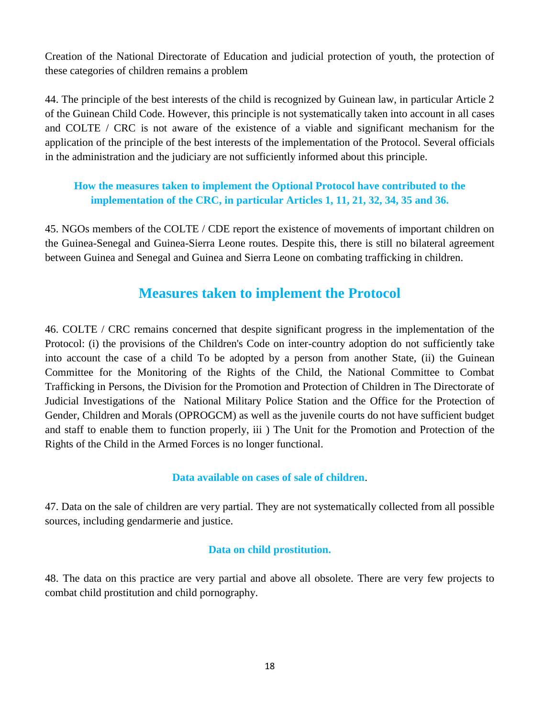Creation of the National Directorate of Education and judicial protection of youth, the protection of these categories of children remains a problem

44. The principle of the best interests of the child is recognized by Guinean law, in particular Article 2 of the Guinean Child Code. However, this principle is not systematically taken into account in all cases and COLTE / CRC is not aware of the existence of a viable and significant mechanism for the application of the principle of the best interests of the implementation of the Protocol. Several officials in the administration and the judiciary are not sufficiently informed about this principle.

# **How the measures taken to implement the Optional Protocol have contributed to the implementation of the CRC, in particular Articles 1, 11, 21, 32, 34, 35 and 36.**

45. NGOs members of the COLTE / CDE report the existence of movements of important children on the Guinea-Senegal and Guinea-Sierra Leone routes. Despite this, there is still no bilateral agreement between Guinea and Senegal and Guinea and Sierra Leone on combating trafficking in children.

# **Measures taken to implement the Protocol**

46. COLTE / CRC remains concerned that despite significant progress in the implementation of the Protocol: (i) the provisions of the Children's Code on inter-country adoption do not sufficiently take into account the case of a child To be adopted by a person from another State, (ii) the Guinean Committee for the Monitoring of the Rights of the Child, the National Committee to Combat Trafficking in Persons, the Division for the Promotion and Protection of Children in The Directorate of Judicial Investigations of the National Military Police Station and the Office for the Protection of Gender, Children and Morals (OPROGCM) as well as the juvenile courts do not have sufficient budget and staff to enable them to function properly, iii ) The Unit for the Promotion and Protection of the Rights of the Child in the Armed Forces is no longer functional.

#### **Data available on cases of sale of children**.

47. Data on the sale of children are very partial. They are not systematically collected from all possible sources, including gendarmerie and justice.

#### **Data on child prostitution.**

48. The data on this practice are very partial and above all obsolete. There are very few projects to combat child prostitution and child pornography.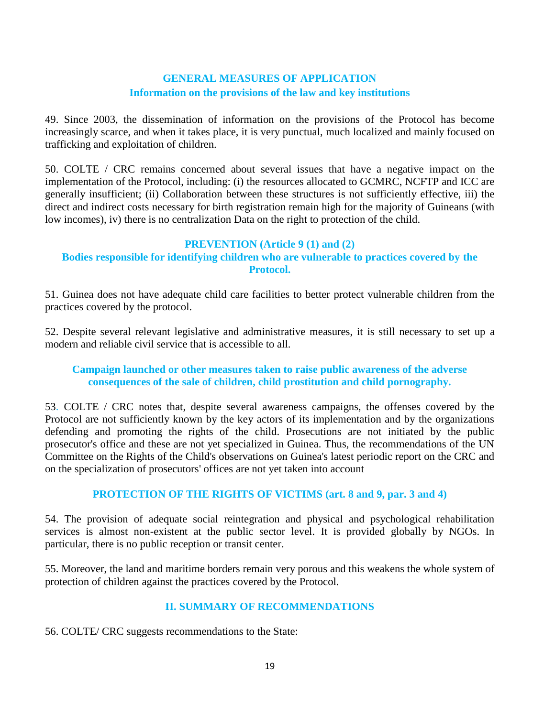## **GENERAL MEASURES OF APPLICATION Information on the provisions of the law and key institutions**

49. Since 2003, the dissemination of information on the provisions of the Protocol has become increasingly scarce, and when it takes place, it is very punctual, much localized and mainly focused on trafficking and exploitation of children.

50. COLTE / CRC remains concerned about several issues that have a negative impact on the implementation of the Protocol, including: (i) the resources allocated to GCMRC, NCFTP and ICC are generally insufficient; (ii) Collaboration between these structures is not sufficiently effective, iii) the direct and indirect costs necessary for birth registration remain high for the majority of Guineans (with low incomes), iv) there is no centralization Data on the right to protection of the child.

#### **PREVENTION (Article 9 (1) and (2)**

### **Bodies responsible for identifying children who are vulnerable to practices covered by the Protocol.**

51. Guinea does not have adequate child care facilities to better protect vulnerable children from the practices covered by the protocol.

52. Despite several relevant legislative and administrative measures, it is still necessary to set up a modern and reliable civil service that is accessible to all.

#### **Campaign launched or other measures taken to raise public awareness of the adverse consequences of the sale of children, child prostitution and child pornography.**

53. COLTE / CRC notes that, despite several awareness campaigns, the offenses covered by the Protocol are not sufficiently known by the key actors of its implementation and by the organizations defending and promoting the rights of the child. Prosecutions are not initiated by the public prosecutor's office and these are not yet specialized in Guinea. Thus, the recommendations of the UN Committee on the Rights of the Child's observations on Guinea's latest periodic report on the CRC and on the specialization of prosecutors' offices are not yet taken into account

#### **PROTECTION OF THE RIGHTS OF VICTIMS (art. 8 and 9, par. 3 and 4)**

54. The provision of adequate social reintegration and physical and psychological rehabilitation services is almost non-existent at the public sector level. It is provided globally by NGOs. In particular, there is no public reception or transit center.

55. Moreover, the land and maritime borders remain very porous and this weakens the whole system of protection of children against the practices covered by the Protocol.

#### **II. SUMMARY OF RECOMMENDATIONS**

56. COLTE/ CRC suggests recommendations to the State: